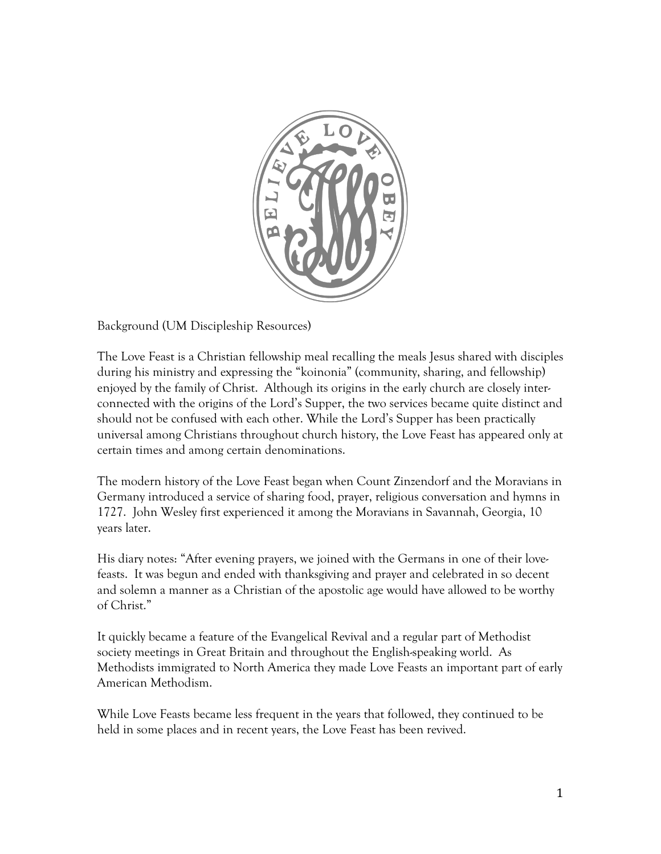

Background (UM Discipleship Resources)

The Love Feast is a Christian fellowship meal recalling the meals Jesus shared with disciples during his ministry and expressing the "koinonia" (community, sharing, and fellowship) enjoyed by the family of Christ. Although its origins in the early church are closely interconnected with the origins of the Lord's Supper, the two services became quite distinct and should not be confused with each other. While the Lord's Supper has been practically universal among Christians throughout church history, the Love Feast has appeared only at certain times and among certain denominations.

The modern history of the Love Feast began when Count Zinzendorf and the Moravians in Germany introduced a service of sharing food, prayer, religious conversation and hymns in 1727. John Wesley first experienced it among the Moravians in Savannah, Georgia, 10 years later.

His diary notes: "After evening prayers, we joined with the Germans in one of their lovefeasts. It was begun and ended with thanksgiving and prayer and celebrated in so decent and solemn a manner as a Christian of the apostolic age would have allowed to be worthy of Christ."

It quickly became a feature of the Evangelical Revival and a regular part of Methodist society meetings in Great Britain and throughout the English-speaking world. As Methodists immigrated to North America they made Love Feasts an important part of early American Methodism.

While Love Feasts became less frequent in the years that followed, they continued to be held in some places and in recent years, the Love Feast has been revived.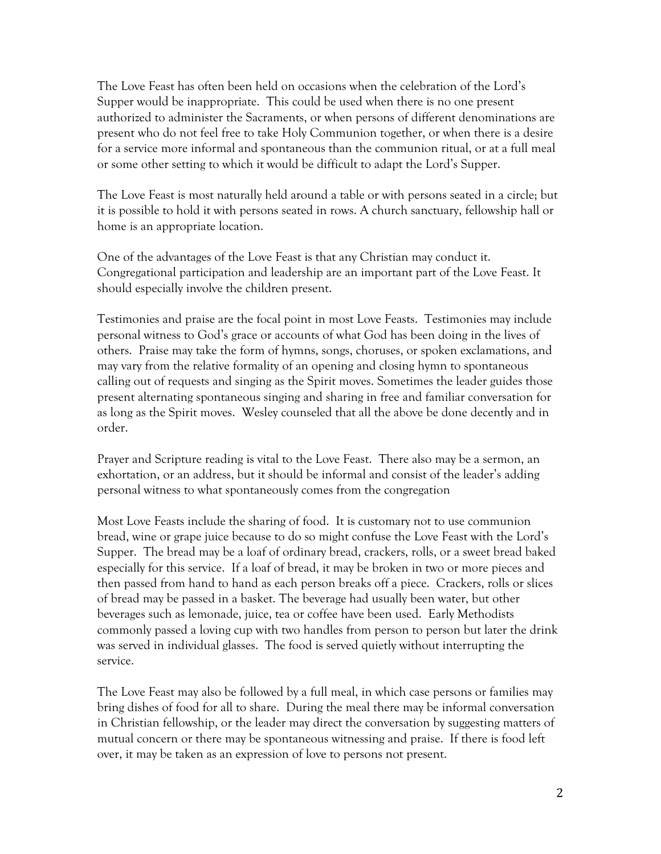The Love Feast has often been held on occasions when the celebration of the Lord's Supper would be inappropriate. This could be used when there is no one present authorized to administer the Sacraments, or when persons of different denominations are present who do not feel free to take Holy Communion together, or when there is a desire for a service more informal and spontaneous than the communion ritual, or at a full meal or some other setting to which it would be difficult to adapt the Lord's Supper.

The Love Feast is most naturally held around a table or with persons seated in a circle; but it is possible to hold it with persons seated in rows. A church sanctuary, fellowship hall or home is an appropriate location.

One of the advantages of the Love Feast is that any Christian may conduct it. Congregational participation and leadership are an important part of the Love Feast. It should especially involve the children present.

Testimonies and praise are the focal point in most Love Feasts. Testimonies may include personal witness to God's grace or accounts of what God has been doing in the lives of others. Praise may take the form of hymns, songs, choruses, or spoken exclamations, and may vary from the relative formality of an opening and closing hymn to spontaneous calling out of requests and singing as the Spirit moves. Sometimes the leader guides those present alternating spontaneous singing and sharing in free and familiar conversation for as long as the Spirit moves. Wesley counseled that all the above be done decently and in order.

Prayer and Scripture reading is vital to the Love Feast. There also may be a sermon, an exhortation, or an address, but it should be informal and consist of the leader's adding personal witness to what spontaneously comes from the congregation

Most Love Feasts include the sharing of food. It is customary not to use communion bread, wine or grape juice because to do so might confuse the Love Feast with the Lord's Supper. The bread may be a loaf of ordinary bread, crackers, rolls, or a sweet bread baked especially for this service. If a loaf of bread, it may be broken in two or more pieces and then passed from hand to hand as each person breaks off a piece. Crackers, rolls or slices of bread may be passed in a basket. The beverage had usually been water, but other beverages such as lemonade, juice, tea or coffee have been used. Early Methodists commonly passed a loving cup with two handles from person to person but later the drink was served in individual glasses. The food is served quietly without interrupting the service.

The Love Feast may also be followed by a full meal, in which case persons or families may bring dishes of food for all to share. During the meal there may be informal conversation in Christian fellowship, or the leader may direct the conversation by suggesting matters of mutual concern or there may be spontaneous witnessing and praise. If there is food left over, it may be taken as an expression of love to persons not present.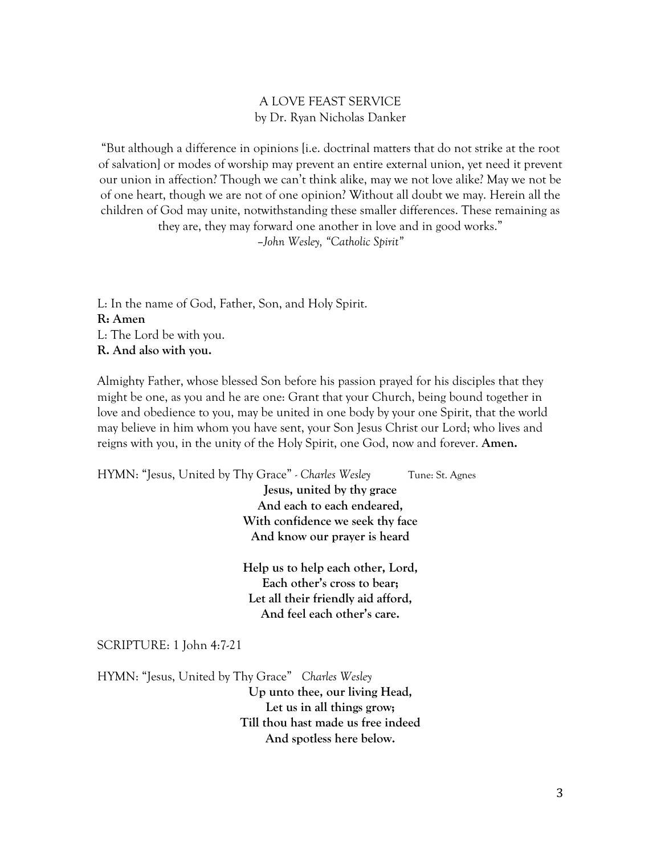## A LOVE FEAST SERVICE by Dr. Ryan Nicholas Danker

"But although a difference in opinions [i.e. doctrinal matters that do not strike at the root of salvation] or modes of worship may prevent an entire external union, yet need it prevent our union in affection? Though we can't think alike, may we not love alike? May we not be of one heart, though we are not of one opinion? Without all doubt we may. Herein all the children of God may unite, notwithstanding these smaller differences. These remaining as they are, they may forward one another in love and in good works."

–*John Wesley, "Catholic Spirit"*

L: In the name of God, Father, Son, and Holy Spirit. **R: Amen** L: The Lord be with you. **R. And also with you.** 

Almighty Father, whose blessed Son before his passion prayed for his disciples that they might be one, as you and he are one: Grant that your Church, being bound together in love and obedience to you, may be united in one body by your one Spirit, that the world may believe in him whom you have sent, your Son Jesus Christ our Lord; who lives and reigns with you, in the unity of the Holy Spirit, one God, now and forever. **Amen.**

HYMN: "Jesus, United by Thy Grace" *- Charles Wesley* Tune: St. Agnes **Jesus, united by thy grace And each to each endeared, With confidence we seek thy face And know our prayer is heard Help us to help each other, Lord, Each other's cross to bear; Let all their friendly aid afford, And feel each other's care.** SCRIPTURE: 1 John 4:7-21 HYMN: "Jesus, United by Thy Grace" *Charles Wesley* **Up unto thee, our living Head, Let us in all things grow; Till thou hast made us free indeed And spotless here below.**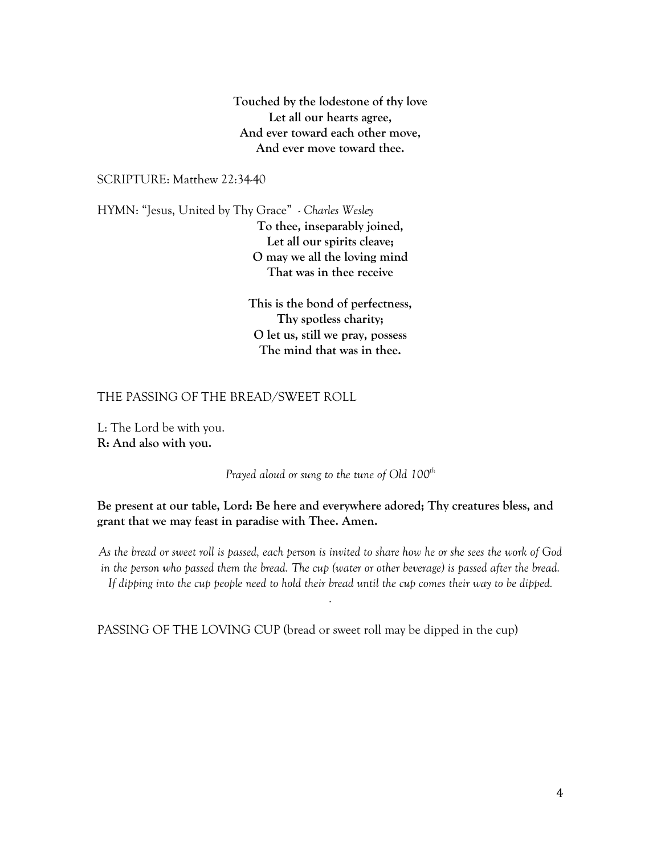**Touched by the lodestone of thy love Let all our hearts agree, And ever toward each other move, And ever move toward thee.**

## SCRIPTURE: Matthew 22:34-40

HYMN: "Jesus, United by Thy Grace" *- Charles Wesley* **To thee, inseparably joined, Let all our spirits cleave; O may we all the loving mind That was in thee receive** 

> **This is the bond of perfectness, Thy spotless charity; O let us, still we pray, possess The mind that was in thee.**

### THE PASSING OF THE BREAD/SWEET ROLL

L: The Lord be with you. **R: And also with you.**

*Prayed aloud or sung to the tune of Old 100th*

**Be present at our table, Lord: Be here and everywhere adored; Thy creatures bless, and grant that we may feast in paradise with Thee. Amen.**

*As the bread or sweet roll is passed, each person is invited to share how he or she sees the work of God in the person who passed them the bread. The cup (water or other beverage) is passed after the bread. If dipping into the cup people need to hold their bread until the cup comes their way to be dipped.*

*.*

PASSING OF THE LOVING CUP (bread or sweet roll may be dipped in the cup)